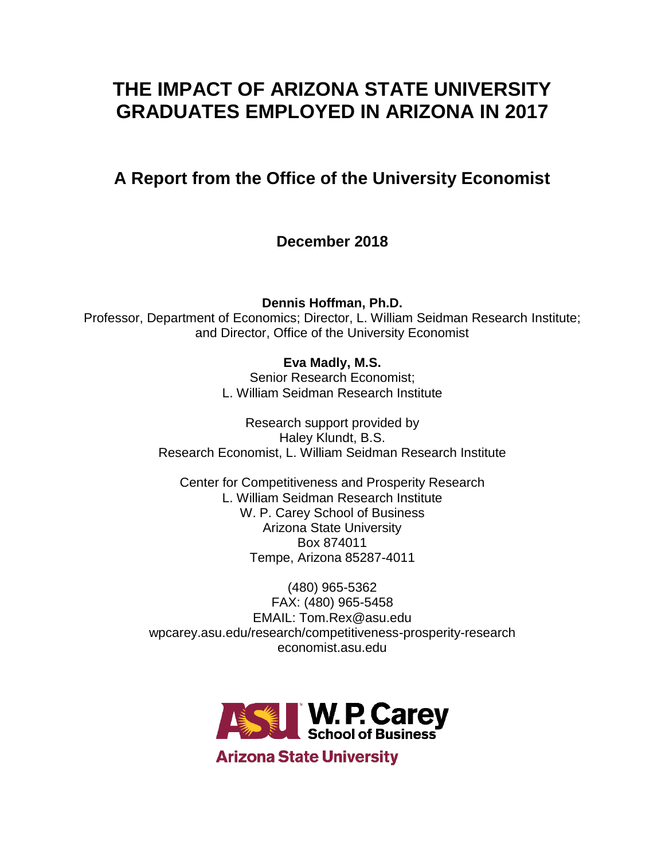# **THE IMPACT OF ARIZONA STATE UNIVERSITY GRADUATES EMPLOYED IN ARIZONA IN 2017**

# **A Report from the Office of the University Economist**

**December 2018**

**Dennis Hoffman, Ph.D.**

Professor, Department of Economics; Director, L. William Seidman Research Institute; and Director, Office of the University Economist

# **Eva Madly, M.S.**

Senior Research Economist; L. William Seidman Research Institute

Research support provided by Haley Klundt, B.S. Research Economist, L. William Seidman Research Institute

Center for Competitiveness and Prosperity Research L. William Seidman Research Institute W. P. Carey School of Business Arizona State University Box 874011 Tempe, Arizona 85287-4011

(480) 965-5362 FAX: (480) 965-5458 EMAIL: Tom.Rex@asu.edu wpcarey.asu.edu/research/competitiveness-prosperity-research economist.asu.edu

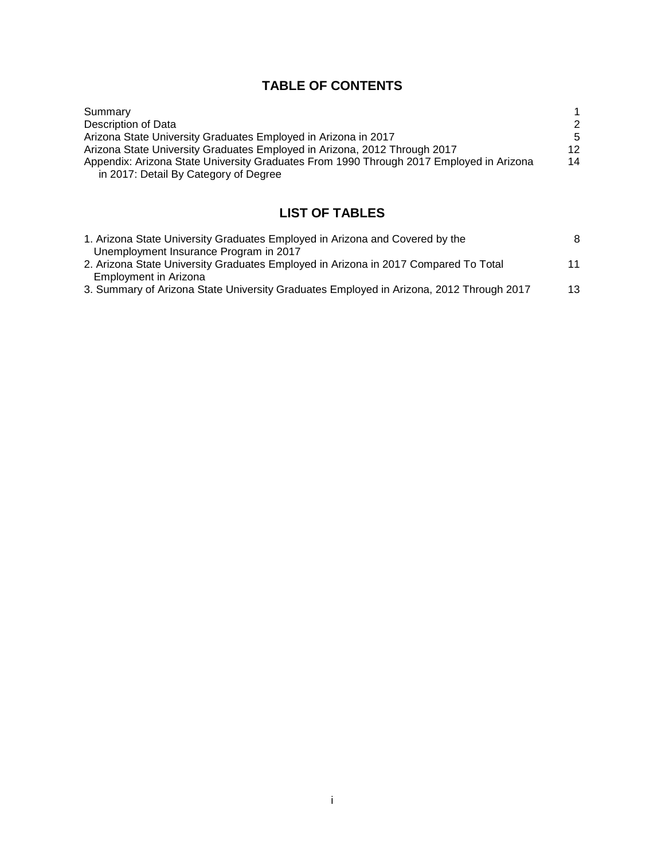# **TABLE OF CONTENTS**

| Summary                                                                                 |    |
|-----------------------------------------------------------------------------------------|----|
| Description of Data                                                                     | 2  |
| Arizona State University Graduates Employed in Arizona in 2017                          | -5 |
| Arizona State University Graduates Employed in Arizona, 2012 Through 2017               | 12 |
| Appendix: Arizona State University Graduates From 1990 Through 2017 Employed in Arizona | 14 |
| in 2017: Detail By Category of Degree                                                   |    |

# **LIST OF TABLES**

| 1. Arizona State University Graduates Employed in Arizona and Covered by the            | 8  |
|-----------------------------------------------------------------------------------------|----|
| Unemployment Insurance Program in 2017                                                  |    |
| 2. Arizona State University Graduates Employed in Arizona in 2017 Compared To Total     | 11 |
| Employment in Arizona                                                                   |    |
| 3. Summary of Arizona State University Graduates Employed in Arizona, 2012 Through 2017 | 13 |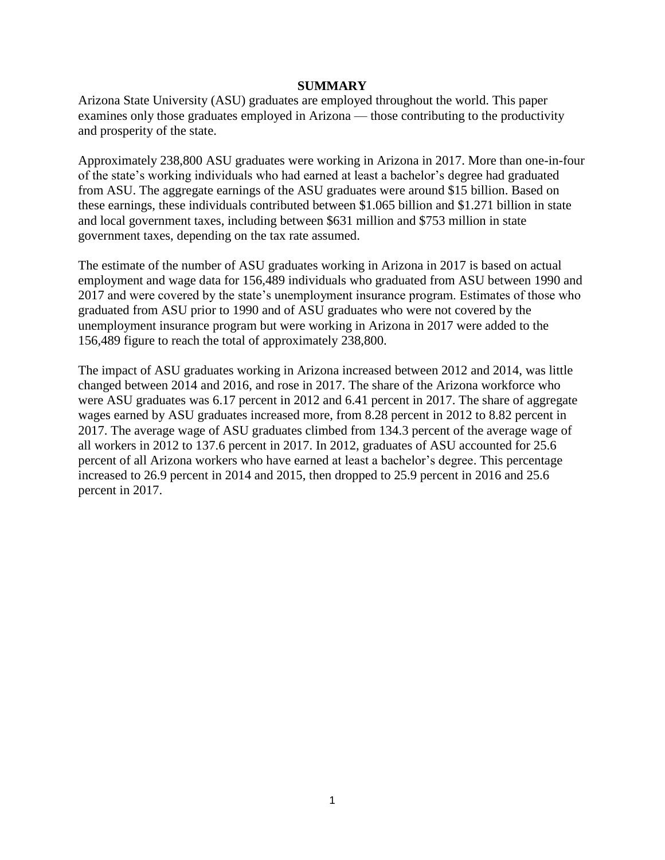#### **SUMMARY**

Arizona State University (ASU) graduates are employed throughout the world. This paper examines only those graduates employed in Arizona — those contributing to the productivity and prosperity of the state.

Approximately 238,800 ASU graduates were working in Arizona in 2017. More than one-in-four of the state's working individuals who had earned at least a bachelor's degree had graduated from ASU. The aggregate earnings of the ASU graduates were around \$15 billion. Based on these earnings, these individuals contributed between \$1.065 billion and \$1.271 billion in state and local government taxes, including between \$631 million and \$753 million in state government taxes, depending on the tax rate assumed.

The estimate of the number of ASU graduates working in Arizona in 2017 is based on actual employment and wage data for 156,489 individuals who graduated from ASU between 1990 and 2017 and were covered by the state's unemployment insurance program. Estimates of those who graduated from ASU prior to 1990 and of ASU graduates who were not covered by the unemployment insurance program but were working in Arizona in 2017 were added to the 156,489 figure to reach the total of approximately 238,800.

The impact of ASU graduates working in Arizona increased between 2012 and 2014, was little changed between 2014 and 2016, and rose in 2017. The share of the Arizona workforce who were ASU graduates was 6.17 percent in 2012 and 6.41 percent in 2017. The share of aggregate wages earned by ASU graduates increased more, from 8.28 percent in 2012 to 8.82 percent in 2017. The average wage of ASU graduates climbed from 134.3 percent of the average wage of all workers in 2012 to 137.6 percent in 2017. In 2012, graduates of ASU accounted for 25.6 percent of all Arizona workers who have earned at least a bachelor's degree. This percentage increased to 26.9 percent in 2014 and 2015, then dropped to 25.9 percent in 2016 and 25.6 percent in 2017.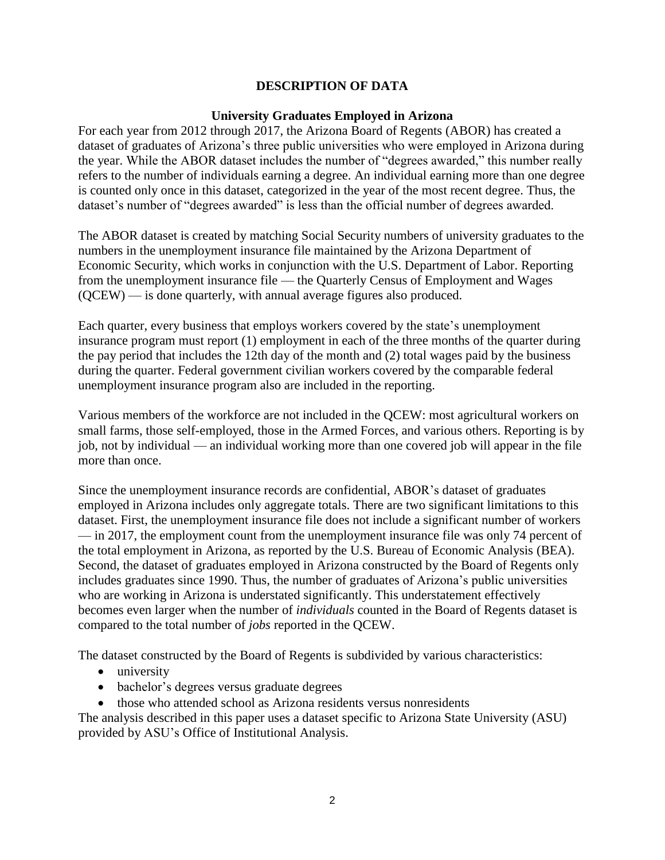## **DESCRIPTION OF DATA**

#### **University Graduates Employed in Arizona**

For each year from 2012 through 2017, the Arizona Board of Regents (ABOR) has created a dataset of graduates of Arizona's three public universities who were employed in Arizona during the year. While the ABOR dataset includes the number of "degrees awarded," this number really refers to the number of individuals earning a degree. An individual earning more than one degree is counted only once in this dataset, categorized in the year of the most recent degree. Thus, the dataset's number of "degrees awarded" is less than the official number of degrees awarded.

The ABOR dataset is created by matching Social Security numbers of university graduates to the numbers in the unemployment insurance file maintained by the Arizona Department of Economic Security, which works in conjunction with the U.S. Department of Labor. Reporting from the unemployment insurance file — the Quarterly Census of Employment and Wages (QCEW) — is done quarterly, with annual average figures also produced.

Each quarter, every business that employs workers covered by the state's unemployment insurance program must report (1) employment in each of the three months of the quarter during the pay period that includes the 12th day of the month and (2) total wages paid by the business during the quarter. Federal government civilian workers covered by the comparable federal unemployment insurance program also are included in the reporting.

Various members of the workforce are not included in the QCEW: most agricultural workers on small farms, those self-employed, those in the Armed Forces, and various others. Reporting is by job, not by individual — an individual working more than one covered job will appear in the file more than once.

Since the unemployment insurance records are confidential, ABOR's dataset of graduates employed in Arizona includes only aggregate totals. There are two significant limitations to this dataset. First, the unemployment insurance file does not include a significant number of workers — in 2017, the employment count from the unemployment insurance file was only 74 percent of the total employment in Arizona, as reported by the U.S. Bureau of Economic Analysis (BEA). Second, the dataset of graduates employed in Arizona constructed by the Board of Regents only includes graduates since 1990. Thus, the number of graduates of Arizona's public universities who are working in Arizona is understated significantly. This understatement effectively becomes even larger when the number of *individuals* counted in the Board of Regents dataset is compared to the total number of *jobs* reported in the QCEW.

The dataset constructed by the Board of Regents is subdivided by various characteristics:

- university
- bachelor's degrees versus graduate degrees
- those who attended school as Arizona residents versus nonresidents

The analysis described in this paper uses a dataset specific to Arizona State University (ASU) provided by ASU's Office of Institutional Analysis.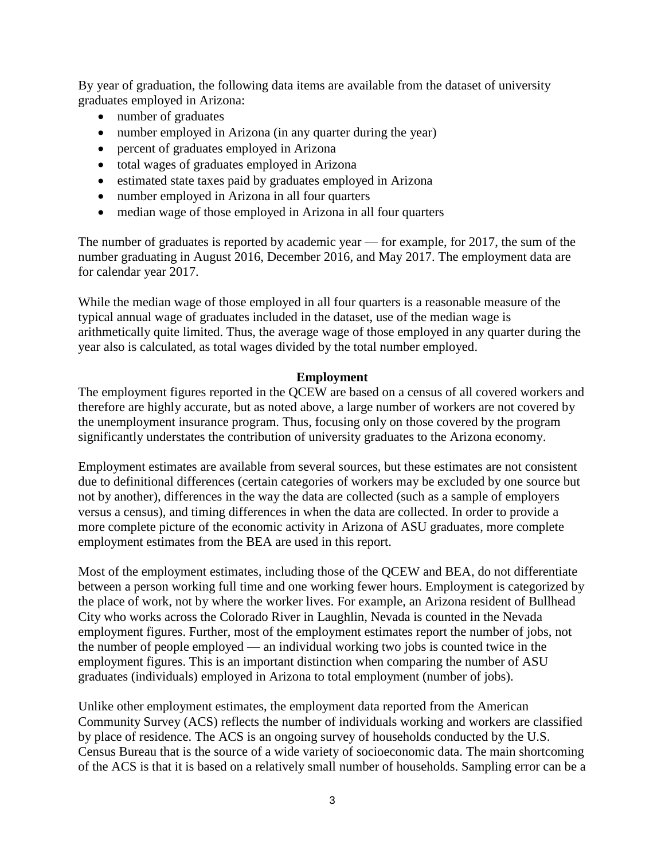By year of graduation, the following data items are available from the dataset of university graduates employed in Arizona:

- number of graduates
- number employed in Arizona (in any quarter during the year)
- percent of graduates employed in Arizona
- total wages of graduates employed in Arizona
- estimated state taxes paid by graduates employed in Arizona
- number employed in Arizona in all four quarters
- median wage of those employed in Arizona in all four quarters

The number of graduates is reported by academic year — for example, for 2017, the sum of the number graduating in August 2016, December 2016, and May 2017. The employment data are for calendar year 2017.

While the median wage of those employed in all four quarters is a reasonable measure of the typical annual wage of graduates included in the dataset, use of the median wage is arithmetically quite limited. Thus, the average wage of those employed in any quarter during the year also is calculated, as total wages divided by the total number employed.

#### **Employment**

The employment figures reported in the QCEW are based on a census of all covered workers and therefore are highly accurate, but as noted above, a large number of workers are not covered by the unemployment insurance program. Thus, focusing only on those covered by the program significantly understates the contribution of university graduates to the Arizona economy.

Employment estimates are available from several sources, but these estimates are not consistent due to definitional differences (certain categories of workers may be excluded by one source but not by another), differences in the way the data are collected (such as a sample of employers versus a census), and timing differences in when the data are collected. In order to provide a more complete picture of the economic activity in Arizona of ASU graduates, more complete employment estimates from the BEA are used in this report.

Most of the employment estimates, including those of the QCEW and BEA, do not differentiate between a person working full time and one working fewer hours. Employment is categorized by the place of work, not by where the worker lives. For example, an Arizona resident of Bullhead City who works across the Colorado River in Laughlin, Nevada is counted in the Nevada employment figures. Further, most of the employment estimates report the number of jobs, not the number of people employed — an individual working two jobs is counted twice in the employment figures. This is an important distinction when comparing the number of ASU graduates (individuals) employed in Arizona to total employment (number of jobs).

Unlike other employment estimates, the employment data reported from the American Community Survey (ACS) reflects the number of individuals working and workers are classified by place of residence. The ACS is an ongoing survey of households conducted by the U.S. Census Bureau that is the source of a wide variety of socioeconomic data. The main shortcoming of the ACS is that it is based on a relatively small number of households. Sampling error can be a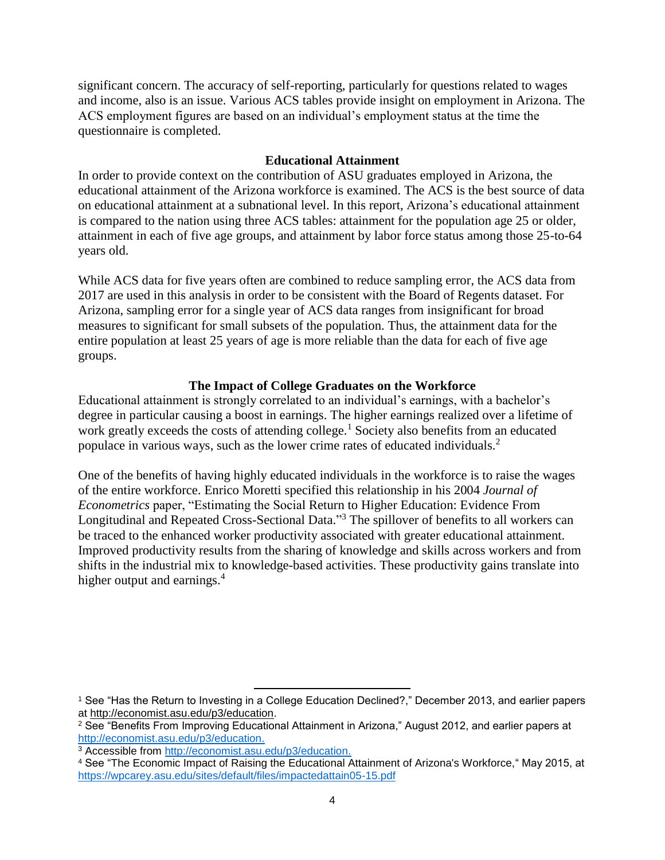significant concern. The accuracy of self-reporting, particularly for questions related to wages and income, also is an issue. Various ACS tables provide insight on employment in Arizona. The ACS employment figures are based on an individual's employment status at the time the questionnaire is completed.

## **Educational Attainment**

In order to provide context on the contribution of ASU graduates employed in Arizona, the educational attainment of the Arizona workforce is examined. The ACS is the best source of data on educational attainment at a subnational level. In this report, Arizona's educational attainment is compared to the nation using three ACS tables: attainment for the population age 25 or older, attainment in each of five age groups, and attainment by labor force status among those 25-to-64 years old.

While ACS data for five years often are combined to reduce sampling error, the ACS data from 2017 are used in this analysis in order to be consistent with the Board of Regents dataset. For Arizona, sampling error for a single year of ACS data ranges from insignificant for broad measures to significant for small subsets of the population. Thus, the attainment data for the entire population at least 25 years of age is more reliable than the data for each of five age groups.

## **The Impact of College Graduates on the Workforce**

Educational attainment is strongly correlated to an individual's earnings, with a bachelor's degree in particular causing a boost in earnings. The higher earnings realized over a lifetime of work greatly exceeds the costs of attending college.<sup>1</sup> Society also benefits from an educated populace in various ways, such as the lower crime rates of educated individuals.<sup>2</sup>

One of the benefits of having highly educated individuals in the workforce is to raise the wages of the entire workforce. Enrico Moretti specified this relationship in his 2004 *Journal of Econometrics* paper, "Estimating the Social Return to Higher Education: Evidence From Longitudinal and Repeated Cross-Sectional Data."<sup>3</sup> The spillover of benefits to all workers can be traced to the enhanced worker productivity associated with greater educational attainment. Improved productivity results from the sharing of knowledge and skills across workers and from shifts in the industrial mix to knowledge-based activities. These productivity gains translate into higher output and earnings.<sup>4</sup>

 $\overline{\phantom{a}}$ 

<sup>1</sup> See "Has the Return to Investing in a College Education Declined?," December 2013, and earlier papers at [http://economist.asu.edu/p3/education.](http://economist.asu.edu/p3/education)

<sup>2</sup> See "Benefits From Improving Educational Attainment in Arizona," August 2012, and earlier papers at [http://economist.asu.edu/p3/education.](http://economist.asu.edu/p3/education)

<sup>3</sup> Accessible from [http://economist.asu.edu/p3/education.](http://economist.asu.edu/p3/education)

<sup>4</sup> See "The Economic Impact of Raising the Educational Attainment of Arizona's Workforce," May 2015, at https://wpcarey.asu.edu/sites/default/files/impactedattain05-15.pdf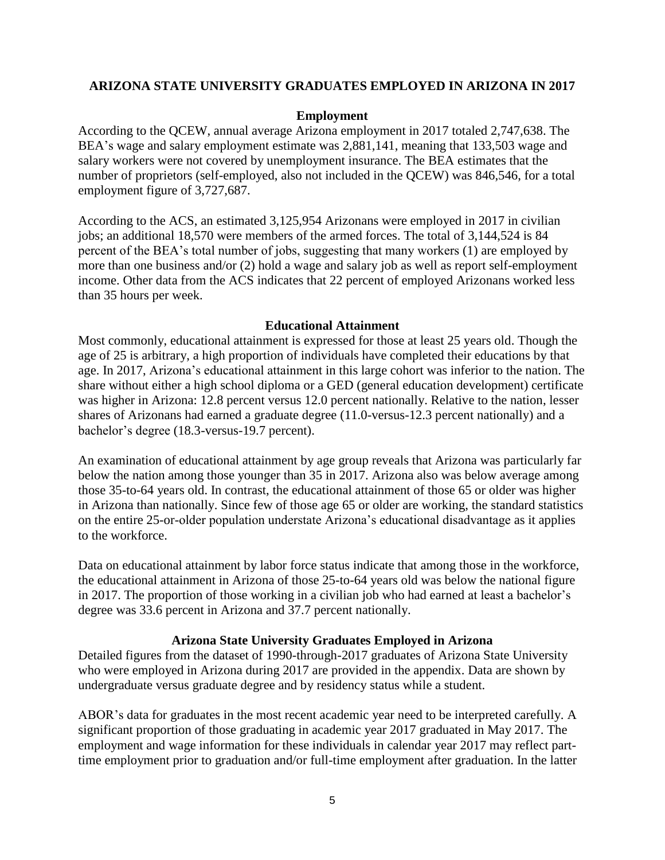### **ARIZONA STATE UNIVERSITY GRADUATES EMPLOYED IN ARIZONA IN 2017**

#### **Employment**

According to the QCEW, annual average Arizona employment in 2017 totaled 2,747,638. The BEA's wage and salary employment estimate was 2,881,141, meaning that 133,503 wage and salary workers were not covered by unemployment insurance. The BEA estimates that the number of proprietors (self-employed, also not included in the QCEW) was 846,546, for a total employment figure of 3,727,687.

According to the ACS, an estimated 3,125,954 Arizonans were employed in 2017 in civilian jobs; an additional 18,570 were members of the armed forces. The total of 3,144,524 is 84 percent of the BEA's total number of jobs, suggesting that many workers (1) are employed by more than one business and/or (2) hold a wage and salary job as well as report self-employment income. Other data from the ACS indicates that 22 percent of employed Arizonans worked less than 35 hours per week.

#### **Educational Attainment**

Most commonly, educational attainment is expressed for those at least 25 years old. Though the age of 25 is arbitrary, a high proportion of individuals have completed their educations by that age. In 2017, Arizona's educational attainment in this large cohort was inferior to the nation. The share without either a high school diploma or a GED (general education development) certificate was higher in Arizona: 12.8 percent versus 12.0 percent nationally. Relative to the nation, lesser shares of Arizonans had earned a graduate degree (11.0-versus-12.3 percent nationally) and a bachelor's degree (18.3-versus-19.7 percent).

An examination of educational attainment by age group reveals that Arizona was particularly far below the nation among those younger than 35 in 2017. Arizona also was below average among those 35-to-64 years old. In contrast, the educational attainment of those 65 or older was higher in Arizona than nationally. Since few of those age 65 or older are working, the standard statistics on the entire 25-or-older population understate Arizona's educational disadvantage as it applies to the workforce.

Data on educational attainment by labor force status indicate that among those in the workforce, the educational attainment in Arizona of those 25-to-64 years old was below the national figure in 2017. The proportion of those working in a civilian job who had earned at least a bachelor's degree was 33.6 percent in Arizona and 37.7 percent nationally.

#### **Arizona State University Graduates Employed in Arizona**

Detailed figures from the dataset of 1990-through-2017 graduates of Arizona State University who were employed in Arizona during 2017 are provided in the appendix. Data are shown by undergraduate versus graduate degree and by residency status while a student.

ABOR's data for graduates in the most recent academic year need to be interpreted carefully. A significant proportion of those graduating in academic year 2017 graduated in May 2017. The employment and wage information for these individuals in calendar year 2017 may reflect parttime employment prior to graduation and/or full-time employment after graduation. In the latter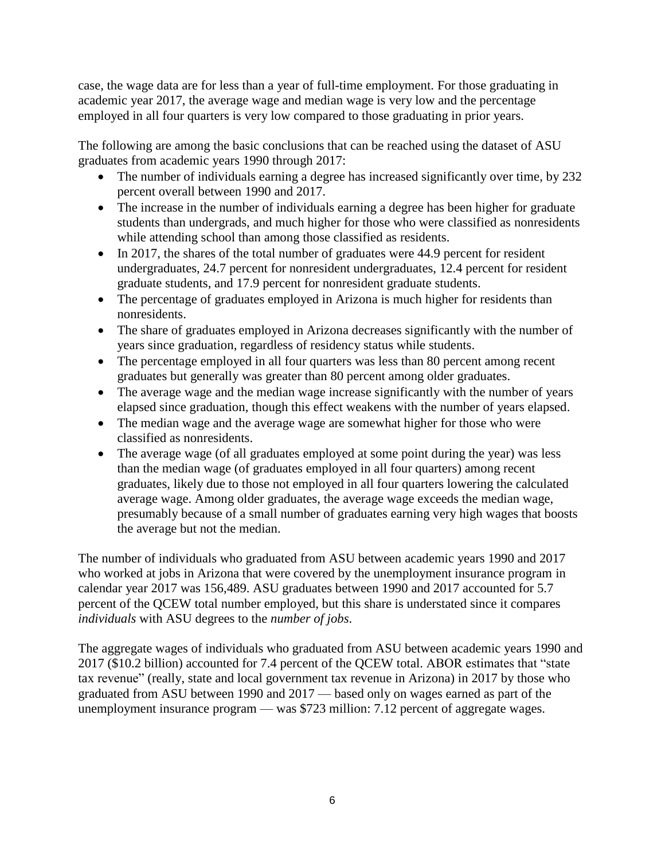case, the wage data are for less than a year of full-time employment. For those graduating in academic year 2017, the average wage and median wage is very low and the percentage employed in all four quarters is very low compared to those graduating in prior years.

The following are among the basic conclusions that can be reached using the dataset of ASU graduates from academic years 1990 through 2017:

- The number of individuals earning a degree has increased significantly over time, by 232 percent overall between 1990 and 2017.
- The increase in the number of individuals earning a degree has been higher for graduate students than undergrads, and much higher for those who were classified as nonresidents while attending school than among those classified as residents.
- In 2017, the shares of the total number of graduates were 44.9 percent for resident undergraduates, 24.7 percent for nonresident undergraduates, 12.4 percent for resident graduate students, and 17.9 percent for nonresident graduate students.
- The percentage of graduates employed in Arizona is much higher for residents than nonresidents.
- The share of graduates employed in Arizona decreases significantly with the number of years since graduation, regardless of residency status while students.
- The percentage employed in all four quarters was less than 80 percent among recent graduates but generally was greater than 80 percent among older graduates.
- The average wage and the median wage increase significantly with the number of years elapsed since graduation, though this effect weakens with the number of years elapsed.
- The median wage and the average wage are somewhat higher for those who were classified as nonresidents.
- The average wage (of all graduates employed at some point during the year) was less than the median wage (of graduates employed in all four quarters) among recent graduates, likely due to those not employed in all four quarters lowering the calculated average wage. Among older graduates, the average wage exceeds the median wage, presumably because of a small number of graduates earning very high wages that boosts the average but not the median.

The number of individuals who graduated from ASU between academic years 1990 and 2017 who worked at jobs in Arizona that were covered by the unemployment insurance program in calendar year 2017 was 156,489. ASU graduates between 1990 and 2017 accounted for 5.7 percent of the QCEW total number employed, but this share is understated since it compares *individuals* with ASU degrees to the *number of jobs*.

The aggregate wages of individuals who graduated from ASU between academic years 1990 and 2017 (\$10.2 billion) accounted for 7.4 percent of the QCEW total. ABOR estimates that "state tax revenue" (really, state and local government tax revenue in Arizona) in 2017 by those who graduated from ASU between 1990 and 2017 — based only on wages earned as part of the unemployment insurance program — was \$723 million: 7.12 percent of aggregate wages.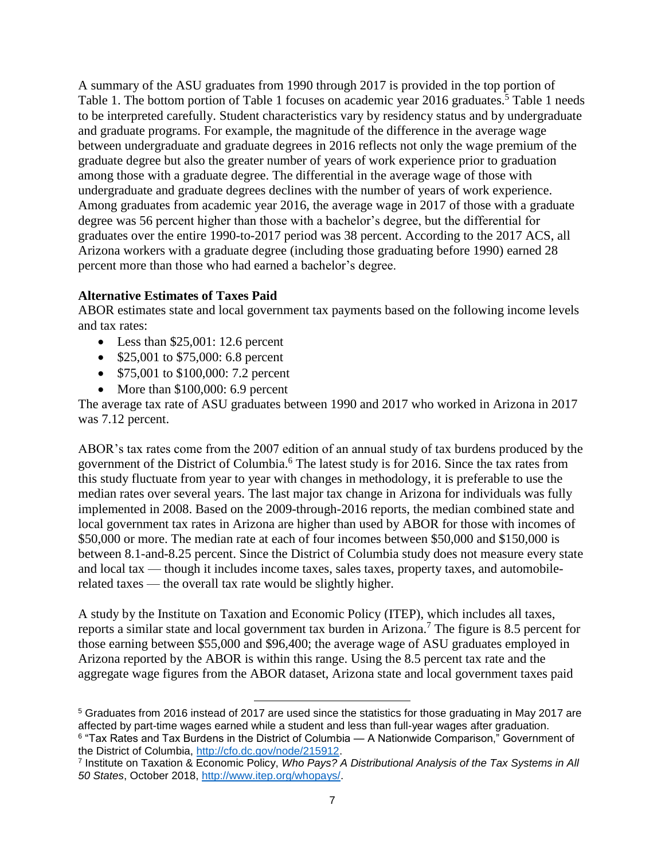A summary of the ASU graduates from 1990 through 2017 is provided in the top portion of Table 1. The bottom portion of Table 1 focuses on academic year 2016 graduates.<sup>5</sup> Table 1 needs to be interpreted carefully. Student characteristics vary by residency status and by undergraduate and graduate programs. For example, the magnitude of the difference in the average wage between undergraduate and graduate degrees in 2016 reflects not only the wage premium of the graduate degree but also the greater number of years of work experience prior to graduation among those with a graduate degree. The differential in the average wage of those with undergraduate and graduate degrees declines with the number of years of work experience. Among graduates from academic year 2016, the average wage in 2017 of those with a graduate degree was 56 percent higher than those with a bachelor's degree, but the differential for graduates over the entire 1990-to-2017 period was 38 percent. According to the 2017 ACS, all Arizona workers with a graduate degree (including those graduating before 1990) earned 28 percent more than those who had earned a bachelor's degree.

## **Alternative Estimates of Taxes Paid**

ABOR estimates state and local government tax payments based on the following income levels and tax rates:

- Less than  $$25,001:12.6$  percent
- **•** \$25,001 to \$75,000: 6.8 percent
- \$75,001 to \$100,000: 7.2 percent
- More than  $$100,000: 6.9$  percent

The average tax rate of ASU graduates between 1990 and 2017 who worked in Arizona in 2017 was 7.12 percent.

ABOR's tax rates come from the 2007 edition of an annual study of tax burdens produced by the government of the District of Columbia.<sup>6</sup> The latest study is for 2016. Since the tax rates from this study fluctuate from year to year with changes in methodology, it is preferable to use the median rates over several years. The last major tax change in Arizona for individuals was fully implemented in 2008. Based on the 2009-through-2016 reports, the median combined state and local government tax rates in Arizona are higher than used by ABOR for those with incomes of \$50,000 or more. The median rate at each of four incomes between \$50,000 and \$150,000 is between 8.1-and-8.25 percent. Since the District of Columbia study does not measure every state and local tax — though it includes income taxes, sales taxes, property taxes, and automobilerelated taxes — the overall tax rate would be slightly higher.

A study by the Institute on Taxation and Economic Policy (ITEP), which includes all taxes, reports a similar state and local government tax burden in Arizona.<sup>7</sup> The figure is 8.5 percent for those earning between \$55,000 and \$96,400; the average wage of ASU graduates employed in Arizona reported by the ABOR is within this range. Using the 8.5 percent tax rate and the aggregate wage figures from the ABOR dataset, Arizona state and local government taxes paid

<sup>5</sup> Graduates from 2016 instead of 2017 are used since the statistics for those graduating in May 2017 are affected by part-time wages earned while a student and less than full-year wages after graduation.  $^{\rm 6}$  "Tax Rates and Tax Burdens in the District of Columbia — A Nationwide Comparison," Government of the District of Columbia, [http://cfo.dc.gov/node/215912.](http://cfo.dc.gov/node/215912)

l

<sup>7</sup> Institute on Taxation & Economic Policy, *Who Pays? A Distributional Analysis of the Tax Systems in All 50 States*, October 2018, [http://www.itep.org/whopays/.](http://www.itep.org/whopays/)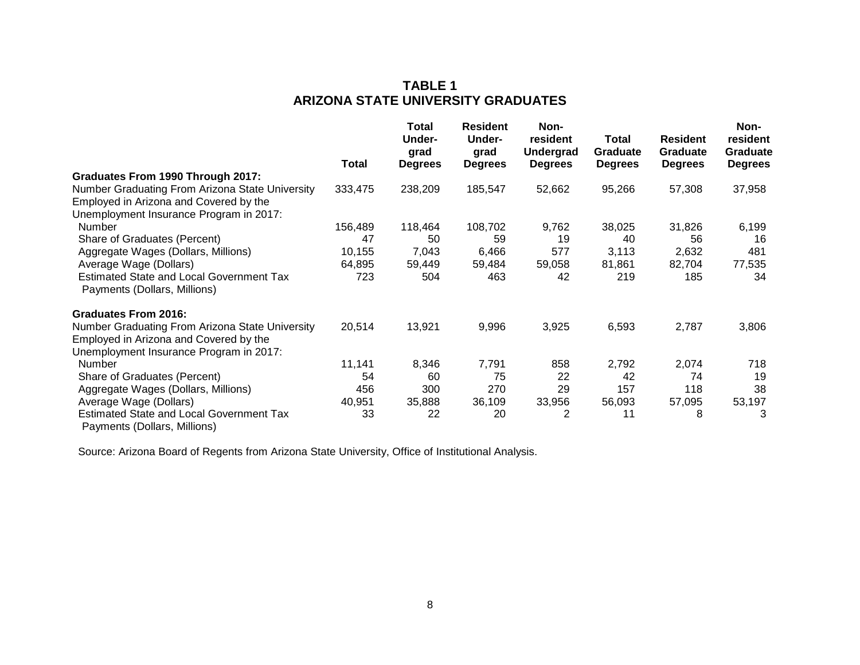## **TABLE 1 ARIZONA STATE UNIVERSITY GRADUATES**

|                                                                                 |              | Total<br>Under-<br>grad | <b>Resident</b><br><b>Under-</b><br>grad | Non-<br>resident<br><b>Undergrad</b> | Total<br>Graduate | <b>Resident</b><br>Graduate | Non-<br>resident<br>Graduate |
|---------------------------------------------------------------------------------|--------------|-------------------------|------------------------------------------|--------------------------------------|-------------------|-----------------------------|------------------------------|
|                                                                                 | <b>Total</b> | <b>Degrees</b>          | <b>Degrees</b>                           | <b>Degrees</b>                       | <b>Degrees</b>    | <b>Degrees</b>              | <b>Degrees</b>               |
| Graduates From 1990 Through 2017:                                               |              |                         |                                          |                                      |                   |                             |                              |
| Number Graduating From Arizona State University                                 | 333,475      | 238,209                 | 185,547                                  | 52,662                               | 95,266            | 57,308                      | 37,958                       |
| Employed in Arizona and Covered by the                                          |              |                         |                                          |                                      |                   |                             |                              |
| Unemployment Insurance Program in 2017:                                         |              |                         |                                          |                                      |                   |                             |                              |
| Number                                                                          | 156,489      | 118,464                 | 108,702                                  | 9,762                                | 38,025            | 31,826                      | 6,199                        |
| Share of Graduates (Percent)                                                    | 47           | 50                      | 59                                       | 19                                   | 40                | 56                          | 16                           |
| Aggregate Wages (Dollars, Millions)                                             | 10,155       | 7,043                   | 6,466                                    | 577                                  | 3,113             | 2,632                       | 481                          |
| Average Wage (Dollars)                                                          | 64,895       | 59,449                  | 59,484                                   | 59,058                               | 81,861            | 82,704                      | 77,535                       |
| <b>Estimated State and Local Government Tax</b><br>Payments (Dollars, Millions) | 723          | 504                     | 463                                      | 42                                   | 219               | 185                         | 34                           |
| <b>Graduates From 2016:</b>                                                     |              |                         |                                          |                                      |                   |                             |                              |
| Number Graduating From Arizona State University                                 | 20,514       | 13,921                  | 9,996                                    | 3,925                                | 6,593             | 2,787                       | 3,806                        |
| Employed in Arizona and Covered by the                                          |              |                         |                                          |                                      |                   |                             |                              |
| Unemployment Insurance Program in 2017:                                         |              |                         |                                          |                                      |                   |                             |                              |
| Number                                                                          | 11,141       | 8,346                   | 7,791                                    | 858                                  | 2,792             | 2,074                       | 718                          |
| Share of Graduates (Percent)                                                    | 54           | 60                      | 75                                       | 22                                   | 42                | 74                          | 19                           |
| Aggregate Wages (Dollars, Millions)                                             | 456          | 300                     | 270                                      | 29                                   | 157               | 118                         | 38                           |
| Average Wage (Dollars)                                                          | 40,951       | 35,888                  | 36,109                                   | 33,956                               | 56,093            | 57,095                      | 53,197                       |
| <b>Estimated State and Local Government Tax</b><br>Payments (Dollars, Millions) | 33           | 22                      | 20                                       | 2                                    | 11                | 8                           | 3                            |

Source: Arizona Board of Regents from Arizona State University, Office of Institutional Analysis.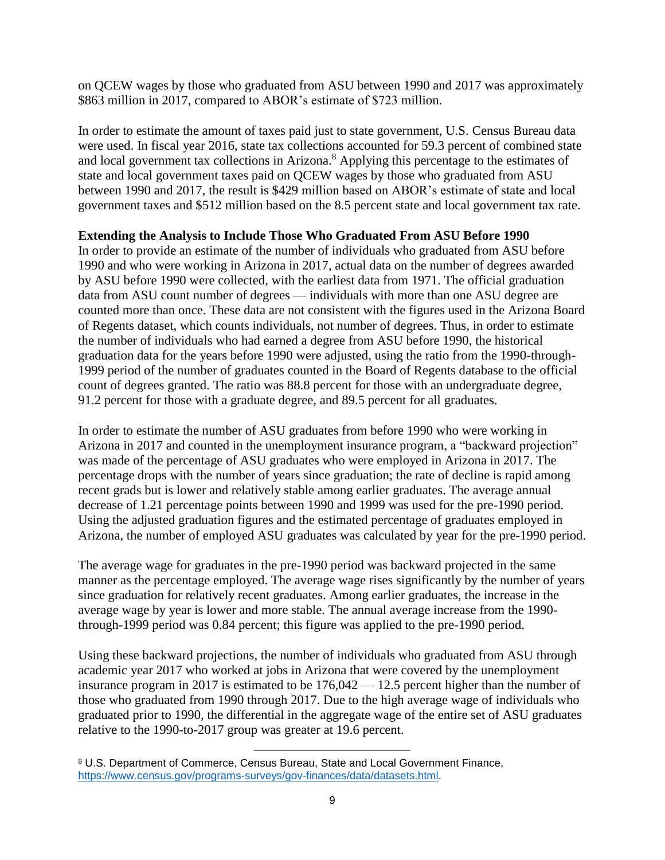on QCEW wages by those who graduated from ASU between 1990 and 2017 was approximately \$863 million in 2017, compared to ABOR's estimate of \$723 million.

In order to estimate the amount of taxes paid just to state government, U.S. Census Bureau data were used. In fiscal year 2016, state tax collections accounted for 59.3 percent of combined state and local government tax collections in Arizona.<sup>8</sup> Applying this percentage to the estimates of state and local government taxes paid on QCEW wages by those who graduated from ASU between 1990 and 2017, the result is \$429 million based on ABOR's estimate of state and local government taxes and \$512 million based on the 8.5 percent state and local government tax rate.

## **Extending the Analysis to Include Those Who Graduated From ASU Before 1990**

In order to provide an estimate of the number of individuals who graduated from ASU before 1990 and who were working in Arizona in 2017, actual data on the number of degrees awarded by ASU before 1990 were collected, with the earliest data from 1971. The official graduation data from ASU count number of degrees — individuals with more than one ASU degree are counted more than once. These data are not consistent with the figures used in the Arizona Board of Regents dataset, which counts individuals, not number of degrees. Thus, in order to estimate the number of individuals who had earned a degree from ASU before 1990, the historical graduation data for the years before 1990 were adjusted, using the ratio from the 1990-through-1999 period of the number of graduates counted in the Board of Regents database to the official count of degrees granted. The ratio was 88.8 percent for those with an undergraduate degree, 91.2 percent for those with a graduate degree, and 89.5 percent for all graduates.

In order to estimate the number of ASU graduates from before 1990 who were working in Arizona in 2017 and counted in the unemployment insurance program, a "backward projection" was made of the percentage of ASU graduates who were employed in Arizona in 2017. The percentage drops with the number of years since graduation; the rate of decline is rapid among recent grads but is lower and relatively stable among earlier graduates. The average annual decrease of 1.21 percentage points between 1990 and 1999 was used for the pre-1990 period. Using the adjusted graduation figures and the estimated percentage of graduates employed in Arizona, the number of employed ASU graduates was calculated by year for the pre-1990 period.

The average wage for graduates in the pre-1990 period was backward projected in the same manner as the percentage employed. The average wage rises significantly by the number of years since graduation for relatively recent graduates. Among earlier graduates, the increase in the average wage by year is lower and more stable. The annual average increase from the 1990 through-1999 period was 0.84 percent; this figure was applied to the pre-1990 period.

Using these backward projections, the number of individuals who graduated from ASU through academic year 2017 who worked at jobs in Arizona that were covered by the unemployment insurance program in 2017 is estimated to be 176,042 — 12.5 percent higher than the number of those who graduated from 1990 through 2017. Due to the high average wage of individuals who graduated prior to 1990, the differential in the aggregate wage of the entire set of ASU graduates relative to the 1990-to-2017 group was greater at 19.6 percent.

 $\overline{\phantom{a}}$ 

<sup>8</sup> U.S. Department of Commerce, Census Bureau, State and Local Government Finance, [https://www.census.gov/programs-surveys/gov-finances/data/datasets.html.](https://www.census.gov/programs-surveys/gov-finances/data/datasets.html)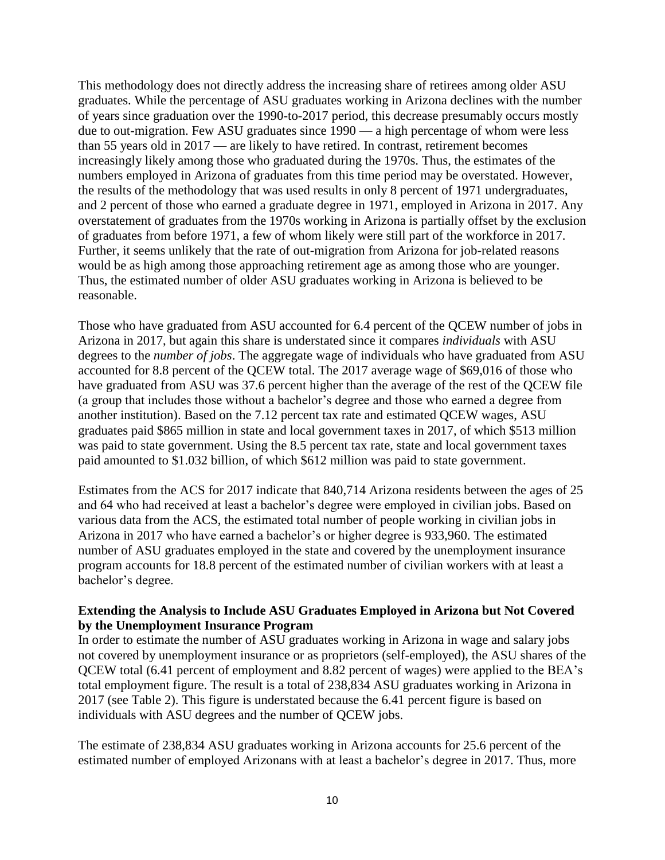This methodology does not directly address the increasing share of retirees among older ASU graduates. While the percentage of ASU graduates working in Arizona declines with the number of years since graduation over the 1990-to-2017 period, this decrease presumably occurs mostly due to out-migration. Few ASU graduates since 1990 — a high percentage of whom were less than 55 years old in 2017 — are likely to have retired. In contrast, retirement becomes increasingly likely among those who graduated during the 1970s. Thus, the estimates of the numbers employed in Arizona of graduates from this time period may be overstated. However, the results of the methodology that was used results in only 8 percent of 1971 undergraduates, and 2 percent of those who earned a graduate degree in 1971, employed in Arizona in 2017. Any overstatement of graduates from the 1970s working in Arizona is partially offset by the exclusion of graduates from before 1971, a few of whom likely were still part of the workforce in 2017. Further, it seems unlikely that the rate of out-migration from Arizona for job-related reasons would be as high among those approaching retirement age as among those who are younger. Thus, the estimated number of older ASU graduates working in Arizona is believed to be reasonable.

Those who have graduated from ASU accounted for 6.4 percent of the QCEW number of jobs in Arizona in 2017, but again this share is understated since it compares *individuals* with ASU degrees to the *number of jobs*. The aggregate wage of individuals who have graduated from ASU accounted for 8.8 percent of the QCEW total. The 2017 average wage of \$69,016 of those who have graduated from ASU was 37.6 percent higher than the average of the rest of the QCEW file (a group that includes those without a bachelor's degree and those who earned a degree from another institution). Based on the 7.12 percent tax rate and estimated QCEW wages, ASU graduates paid \$865 million in state and local government taxes in 2017, of which \$513 million was paid to state government. Using the 8.5 percent tax rate, state and local government taxes paid amounted to \$1.032 billion, of which \$612 million was paid to state government.

Estimates from the ACS for 2017 indicate that 840,714 Arizona residents between the ages of 25 and 64 who had received at least a bachelor's degree were employed in civilian jobs. Based on various data from the ACS, the estimated total number of people working in civilian jobs in Arizona in 2017 who have earned a bachelor's or higher degree is 933,960. The estimated number of ASU graduates employed in the state and covered by the unemployment insurance program accounts for 18.8 percent of the estimated number of civilian workers with at least a bachelor's degree.

## **Extending the Analysis to Include ASU Graduates Employed in Arizona but Not Covered by the Unemployment Insurance Program**

In order to estimate the number of ASU graduates working in Arizona in wage and salary jobs not covered by unemployment insurance or as proprietors (self-employed), the ASU shares of the QCEW total (6.41 percent of employment and 8.82 percent of wages) were applied to the BEA's total employment figure. The result is a total of 238,834 ASU graduates working in Arizona in 2017 (see Table 2). This figure is understated because the 6.41 percent figure is based on individuals with ASU degrees and the number of QCEW jobs.

The estimate of 238,834 ASU graduates working in Arizona accounts for 25.6 percent of the estimated number of employed Arizonans with at least a bachelor's degree in 2017. Thus, more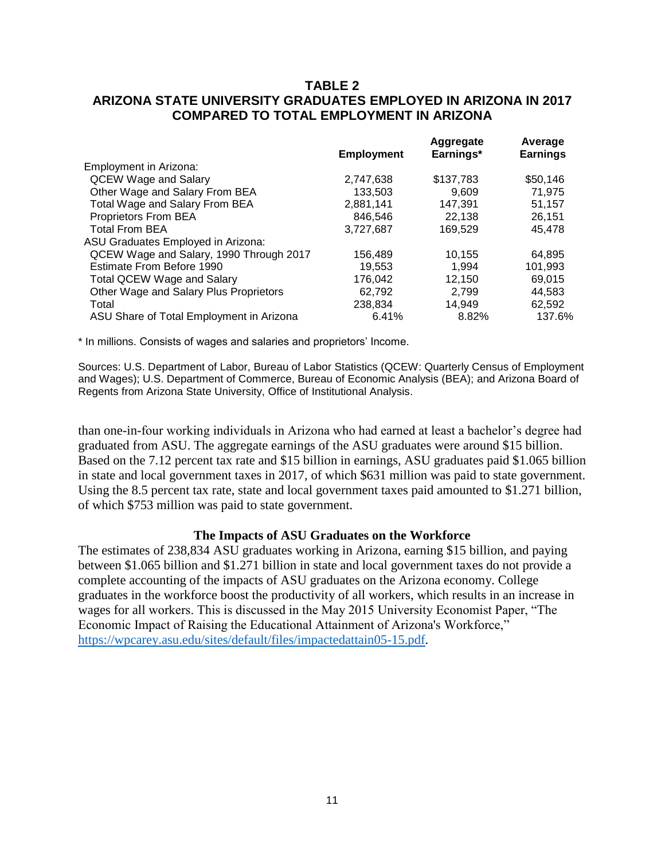## **TABLE 2 ARIZONA STATE UNIVERSITY GRADUATES EMPLOYED IN ARIZONA IN 2017 COMPARED TO TOTAL EMPLOYMENT IN ARIZONA**

|           | Aggregate         | Average<br><b>Earnings</b> |
|-----------|-------------------|----------------------------|
|           |                   |                            |
| 2,747,638 | \$137,783         | \$50,146                   |
| 133,503   | 9.609             | 71.975                     |
| 2,881,141 | 147,391           | 51,157                     |
| 846.546   | 22.138            | 26.151                     |
| 3,727,687 | 169,529           | 45,478                     |
|           |                   |                            |
| 156,489   | 10.155            | 64.895                     |
| 19,553    | 1.994             | 101,993                    |
| 176,042   | 12,150            | 69.015                     |
| 62.792    | 2.799             | 44.583                     |
| 238,834   | 14.949            | 62,592                     |
| 6.41%     | 8.82%             | 137.6%                     |
|           | <b>Employment</b> | Earnings*                  |

\* In millions. Consists of wages and salaries and proprietors' Income.

Sources: U.S. Department of Labor, Bureau of Labor Statistics (QCEW: Quarterly Census of Employment and Wages); U.S. Department of Commerce, Bureau of Economic Analysis (BEA); and Arizona Board of Regents from Arizona State University, Office of Institutional Analysis.

than one-in-four working individuals in Arizona who had earned at least a bachelor's degree had graduated from ASU. The aggregate earnings of the ASU graduates were around \$15 billion. Based on the 7.12 percent tax rate and \$15 billion in earnings, ASU graduates paid \$1.065 billion in state and local government taxes in 2017, of which \$631 million was paid to state government. Using the 8.5 percent tax rate, state and local government taxes paid amounted to \$1.271 billion, of which \$753 million was paid to state government.

#### **The Impacts of ASU Graduates on the Workforce**

The estimates of 238,834 ASU graduates working in Arizona, earning \$15 billion, and paying between \$1.065 billion and \$1.271 billion in state and local government taxes do not provide a complete accounting of the impacts of ASU graduates on the Arizona economy. College graduates in the workforce boost the productivity of all workers, which results in an increase in wages for all workers. This is discussed in the May 2015 University Economist Paper, "The Economic Impact of Raising the Educational Attainment of Arizona's Workforce," [https://wpcarey.asu.edu/sites/default/files/impactedattain05-15.pdf.](https://wpcarey.asu.edu/sites/default/files/impactedattain05-15.pdf)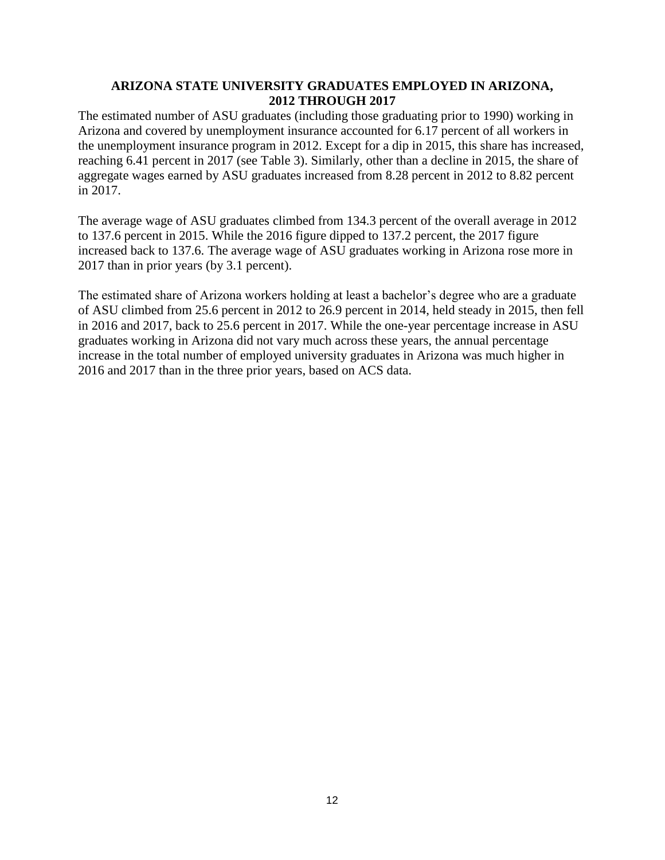## **ARIZONA STATE UNIVERSITY GRADUATES EMPLOYED IN ARIZONA, 2012 THROUGH 2017**

The estimated number of ASU graduates (including those graduating prior to 1990) working in Arizona and covered by unemployment insurance accounted for 6.17 percent of all workers in the unemployment insurance program in 2012. Except for a dip in 2015, this share has increased, reaching 6.41 percent in 2017 (see Table 3). Similarly, other than a decline in 2015, the share of aggregate wages earned by ASU graduates increased from 8.28 percent in 2012 to 8.82 percent in 2017.

The average wage of ASU graduates climbed from 134.3 percent of the overall average in 2012 to 137.6 percent in 2015. While the 2016 figure dipped to 137.2 percent, the 2017 figure increased back to 137.6. The average wage of ASU graduates working in Arizona rose more in 2017 than in prior years (by 3.1 percent).

The estimated share of Arizona workers holding at least a bachelor's degree who are a graduate of ASU climbed from 25.6 percent in 2012 to 26.9 percent in 2014, held steady in 2015, then fell in 2016 and 2017, back to 25.6 percent in 2017. While the one-year percentage increase in ASU graduates working in Arizona did not vary much across these years, the annual percentage increase in the total number of employed university graduates in Arizona was much higher in 2016 and 2017 than in the three prior years, based on ACS data.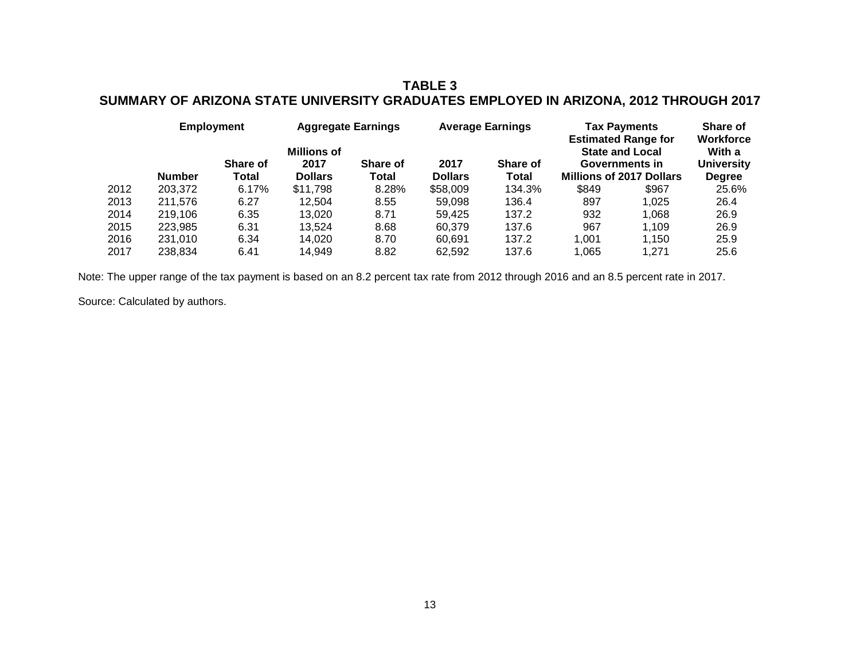## **TABLE 3 SUMMARY OF ARIZONA STATE UNIVERSITY GRADUATES EMPLOYED IN ARIZONA, 2012 THROUGH 2017**

|      | <b>Employment</b> |                   | <b>Aggregate Earnings</b>                    |                   |                        | <b>Average Earnings</b> | <b>Tax Payments</b><br><b>Estimated Range for</b> | Share of<br><b>Workforce</b>                                                |                                              |
|------|-------------------|-------------------|----------------------------------------------|-------------------|------------------------|-------------------------|---------------------------------------------------|-----------------------------------------------------------------------------|----------------------------------------------|
|      | <b>Number</b>     | Share of<br>Total | <b>Millions of</b><br>2017<br><b>Dollars</b> | Share of<br>Total | 2017<br><b>Dollars</b> | Share of<br>Total       |                                                   | <b>State and Local</b><br>Governments in<br><b>Millions of 2017 Dollars</b> | With a<br><b>University</b><br><b>Degree</b> |
| 2012 | 203,372           | 6.17%             | \$11,798                                     | 8.28%             | \$58,009               | 134.3%                  | \$849                                             | \$967                                                                       | 25.6%                                        |
| 2013 | 211.576           | 6.27              | 12.504                                       | 8.55              | 59.098                 | 136.4                   | 897                                               | 1.025                                                                       | 26.4                                         |
| 2014 | 219.106           | 6.35              | 13.020                                       | 8.71              | 59.425                 | 137.2                   | 932                                               | 1.068                                                                       | 26.9                                         |
| 2015 | 223,985           | 6.31              | 13.524                                       | 8.68              | 60.379                 | 137.6                   | 967                                               | 1.109                                                                       | 26.9                                         |
| 2016 | 231.010           | 6.34              | 14.020                                       | 8.70              | 60.691                 | 137.2                   | 1.001                                             | 1.150                                                                       | 25.9                                         |
| 2017 | 238.834           | 6.41              | 14.949                                       | 8.82              | 62,592                 | 137.6                   | 1.065                                             | 1.271                                                                       | 25.6                                         |

Note: The upper range of the tax payment is based on an 8.2 percent tax rate from 2012 through 2016 and an 8.5 percent rate in 2017.

Source: Calculated by authors.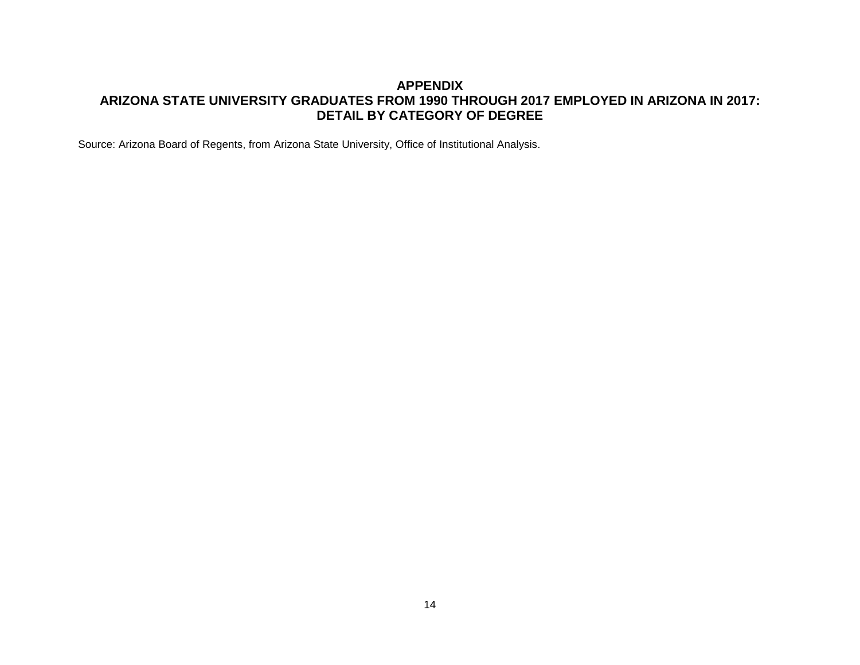## **APPENDIX ARIZONA STATE UNIVERSITY GRADUATES FROM 1990 THROUGH 2017 EMPLOYED IN ARIZONA IN 2017: DETAIL BY CATEGORY OF DEGREE**

Source: Arizona Board of Regents, from Arizona State University, Office of Institutional Analysis.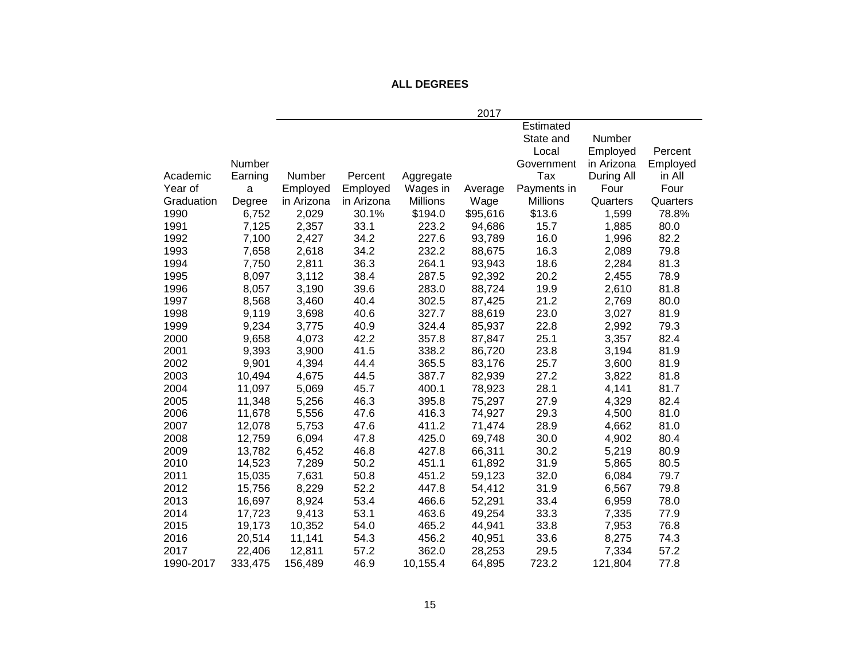## **ALL DEGREES**

|            |         |            |            |           | 2017     |                 |            |          |
|------------|---------|------------|------------|-----------|----------|-----------------|------------|----------|
|            |         |            |            |           |          | Estimated       |            |          |
|            |         |            |            |           |          | State and       | Number     |          |
|            |         |            |            |           |          | Local           | Employed   | Percent  |
|            | Number  |            |            |           |          | Government      | in Arizona | Employed |
| Academic   | Earning | Number     | Percent    | Aggregate |          | Tax             | During All | in All   |
| Year of    | a       | Employed   | Employed   | Wages in  | Average  | Payments in     | Four       | Four     |
| Graduation | Degree  | in Arizona | in Arizona | Millions  | Wage     | <b>Millions</b> | Quarters   | Quarters |
| 1990       | 6,752   | 2,029      | 30.1%      | \$194.0   | \$95,616 | \$13.6          | 1,599      | 78.8%    |
| 1991       | 7,125   | 2,357      | 33.1       | 223.2     | 94,686   | 15.7            | 1,885      | 80.0     |
| 1992       | 7,100   | 2,427      | 34.2       | 227.6     | 93,789   | 16.0            | 1,996      | 82.2     |
| 1993       | 7,658   | 2,618      | 34.2       | 232.2     | 88,675   | 16.3            | 2,089      | 79.8     |
| 1994       | 7,750   | 2,811      | 36.3       | 264.1     | 93,943   | 18.6            | 2,284      | 81.3     |
| 1995       | 8,097   | 3,112      | 38.4       | 287.5     | 92,392   | 20.2            | 2,455      | 78.9     |
| 1996       | 8,057   | 3,190      | 39.6       | 283.0     | 88,724   | 19.9            | 2,610      | 81.8     |
| 1997       | 8,568   | 3,460      | 40.4       | 302.5     | 87,425   | 21.2            | 2,769      | 80.0     |
| 1998       | 9,119   | 3,698      | 40.6       | 327.7     | 88,619   | 23.0            | 3,027      | 81.9     |
| 1999       | 9,234   | 3,775      | 40.9       | 324.4     | 85,937   | 22.8            | 2,992      | 79.3     |
| 2000       | 9,658   | 4,073      | 42.2       | 357.8     | 87,847   | 25.1            | 3,357      | 82.4     |
| 2001       | 9,393   | 3,900      | 41.5       | 338.2     | 86,720   | 23.8            | 3,194      | 81.9     |
| 2002       | 9,901   | 4,394      | 44.4       | 365.5     | 83,176   | 25.7            | 3,600      | 81.9     |
| 2003       | 10,494  | 4,675      | 44.5       | 387.7     | 82,939   | 27.2            | 3,822      | 81.8     |
| 2004       | 11,097  | 5,069      | 45.7       | 400.1     | 78,923   | 28.1            | 4,141      | 81.7     |
| 2005       | 11,348  | 5,256      | 46.3       | 395.8     | 75,297   | 27.9            | 4,329      | 82.4     |
| 2006       | 11,678  | 5,556      | 47.6       | 416.3     | 74,927   | 29.3            | 4,500      | 81.0     |
| 2007       | 12,078  | 5,753      | 47.6       | 411.2     | 71,474   | 28.9            | 4,662      | 81.0     |
| 2008       | 12,759  | 6,094      | 47.8       | 425.0     | 69,748   | 30.0            | 4,902      | 80.4     |
| 2009       | 13,782  | 6,452      | 46.8       | 427.8     | 66,311   | 30.2            | 5,219      | 80.9     |
| 2010       | 14,523  | 7,289      | 50.2       | 451.1     | 61,892   | 31.9            | 5,865      | 80.5     |
| 2011       | 15,035  | 7,631      | 50.8       | 451.2     | 59,123   | 32.0            | 6,084      | 79.7     |
| 2012       | 15,756  | 8,229      | 52.2       | 447.8     | 54,412   | 31.9            | 6,567      | 79.8     |
| 2013       | 16,697  | 8,924      | 53.4       | 466.6     | 52,291   | 33.4            | 6,959      | 78.0     |
| 2014       | 17,723  | 9,413      | 53.1       | 463.6     | 49,254   | 33.3            | 7,335      | 77.9     |
| 2015       | 19,173  | 10,352     | 54.0       | 465.2     | 44,941   | 33.8            | 7,953      | 76.8     |
| 2016       | 20,514  | 11,141     | 54.3       | 456.2     | 40,951   | 33.6            | 8,275      | 74.3     |
| 2017       | 22,406  | 12,811     | 57.2       | 362.0     | 28,253   | 29.5            | 7,334      | 57.2     |
| 1990-2017  | 333,475 | 156,489    | 46.9       | 10,155.4  | 64,895   | 723.2           | 121,804    | 77.8     |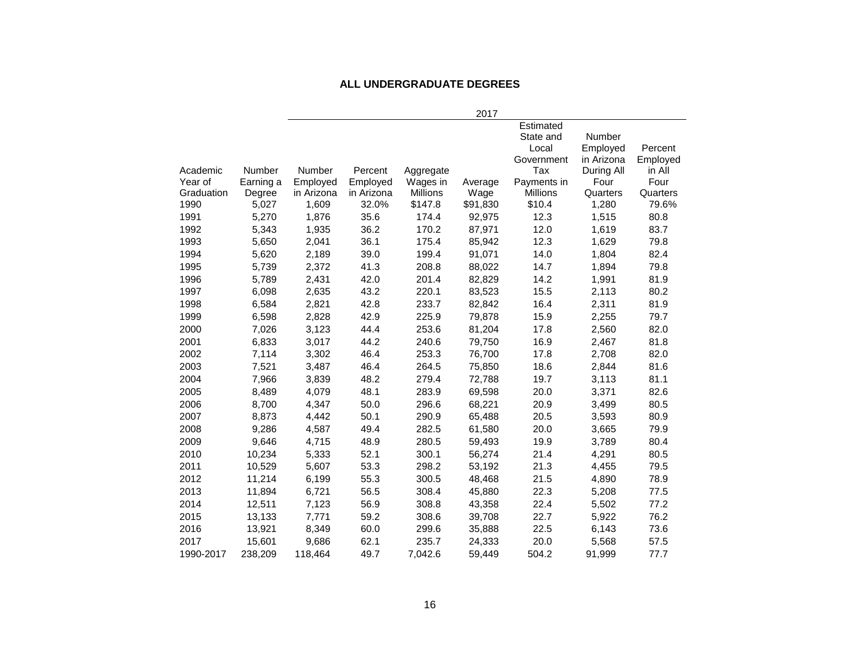#### **ALL UNDERGRADUATE DEGREES**

|            |           |            |            |           | 2017     |             |            |          |
|------------|-----------|------------|------------|-----------|----------|-------------|------------|----------|
|            |           |            |            |           |          | Estimated   |            |          |
|            |           |            |            |           |          | State and   | Number     |          |
|            |           |            |            |           |          | Local       | Employed   | Percent  |
|            |           |            |            |           |          | Government  | in Arizona | Employed |
| Academic   | Number    | Number     | Percent    | Aggregate |          | Tax         | During All | in All   |
| Year of    | Earning a | Employed   | Employed   | Wages in  | Average  | Payments in | Four       | Four     |
| Graduation | Degree    | in Arizona | in Arizona | Millions  | Wage     | Millions    | Quarters   | Quarters |
| 1990       | 5,027     | 1,609      | 32.0%      | \$147.8   | \$91,830 | \$10.4      | 1,280      | 79.6%    |
| 1991       | 5,270     | 1,876      | 35.6       | 174.4     | 92,975   | 12.3        | 1,515      | 80.8     |
| 1992       | 5,343     | 1,935      | 36.2       | 170.2     | 87,971   | 12.0        | 1,619      | 83.7     |
| 1993       | 5,650     | 2,041      | 36.1       | 175.4     | 85,942   | 12.3        | 1,629      | 79.8     |
| 1994       | 5,620     | 2,189      | 39.0       | 199.4     | 91,071   | 14.0        | 1,804      | 82.4     |
| 1995       | 5,739     | 2,372      | 41.3       | 208.8     | 88,022   | 14.7        | 1,894      | 79.8     |
| 1996       | 5,789     | 2,431      | 42.0       | 201.4     | 82,829   | 14.2        | 1,991      | 81.9     |
| 1997       | 6,098     | 2,635      | 43.2       | 220.1     | 83,523   | 15.5        | 2,113      | 80.2     |
| 1998       | 6,584     | 2,821      | 42.8       | 233.7     | 82,842   | 16.4        | 2,311      | 81.9     |
| 1999       | 6,598     | 2,828      | 42.9       | 225.9     | 79,878   | 15.9        | 2,255      | 79.7     |
| 2000       | 7,026     | 3,123      | 44.4       | 253.6     | 81,204   | 17.8        | 2,560      | 82.0     |
| 2001       | 6,833     | 3,017      | 44.2       | 240.6     | 79,750   | 16.9        | 2,467      | 81.8     |
| 2002       | 7,114     | 3,302      | 46.4       | 253.3     | 76,700   | 17.8        | 2,708      | 82.0     |
| 2003       | 7,521     | 3,487      | 46.4       | 264.5     | 75,850   | 18.6        | 2,844      | 81.6     |
| 2004       | 7,966     | 3,839      | 48.2       | 279.4     | 72,788   | 19.7        | 3,113      | 81.1     |
| 2005       | 8,489     | 4,079      | 48.1       | 283.9     | 69,598   | 20.0        | 3,371      | 82.6     |
| 2006       | 8,700     | 4,347      | 50.0       | 296.6     | 68,221   | 20.9        | 3,499      | 80.5     |
| 2007       | 8,873     | 4,442      | 50.1       | 290.9     | 65,488   | 20.5        | 3,593      | 80.9     |
| 2008       | 9,286     | 4,587      | 49.4       | 282.5     | 61,580   | 20.0        | 3,665      | 79.9     |
| 2009       | 9,646     | 4,715      | 48.9       | 280.5     | 59,493   | 19.9        | 3,789      | 80.4     |
| 2010       | 10,234    | 5,333      | 52.1       | 300.1     | 56,274   | 21.4        | 4,291      | 80.5     |
| 2011       | 10,529    | 5,607      | 53.3       | 298.2     | 53,192   | 21.3        | 4,455      | 79.5     |
| 2012       | 11,214    | 6,199      | 55.3       | 300.5     | 48,468   | 21.5        | 4,890      | 78.9     |
| 2013       | 11,894    | 6,721      | 56.5       | 308.4     | 45,880   | 22.3        | 5,208      | 77.5     |
| 2014       | 12,511    | 7,123      | 56.9       | 308.8     | 43,358   | 22.4        | 5,502      | 77.2     |
| 2015       | 13,133    | 7,771      | 59.2       | 308.6     | 39,708   | 22.7        | 5,922      | 76.2     |
| 2016       | 13,921    | 8,349      | 60.0       | 299.6     | 35,888   | 22.5        | 6,143      | 73.6     |
| 2017       | 15,601    | 9,686      | 62.1       | 235.7     | 24,333   | 20.0        | 5,568      | 57.5     |
| 1990-2017  | 238,209   | 118,464    | 49.7       | 7,042.6   | 59,449   | 504.2       | 91,999     | 77.7     |
|            |           |            |            |           |          |             |            |          |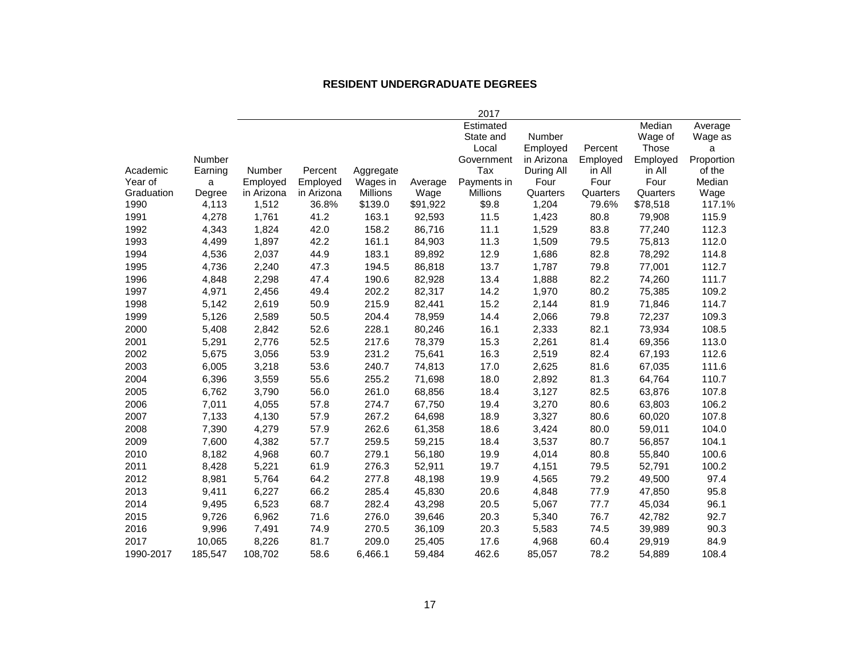#### **RESIDENT UNDERGRADUATE DEGREES**

|            |         |               |            |                 |          | 2017        |            |          |          |            |
|------------|---------|---------------|------------|-----------------|----------|-------------|------------|----------|----------|------------|
|            |         |               |            |                 |          | Estimated   |            |          | Median   | Average    |
|            |         |               |            |                 |          | State and   | Number     |          | Wage of  | Wage as    |
|            |         |               |            |                 |          | Local       | Employed   | Percent  | Those    | a          |
|            | Number  |               |            |                 |          | Government  | in Arizona | Employed | Employed | Proportion |
| Academic   | Earning | <b>Number</b> | Percent    | Aggregate       |          | Tax         | During All | in All   | in All   | of the     |
| Year of    | a       | Employed      | Employed   | Wages in        | Average  | Payments in | Four       | Four     | Four     | Median     |
| Graduation | Degree  | in Arizona    | in Arizona | <b>Millions</b> | Wage     | Millions    | Quarters   | Quarters | Quarters | Wage       |
| 1990       | 4,113   | 1,512         | 36.8%      | \$139.0         | \$91,922 | \$9.8       | 1,204      | 79.6%    | \$78,518 | 117.1%     |
| 1991       | 4,278   | 1,761         | 41.2       | 163.1           | 92,593   | 11.5        | 1,423      | 80.8     | 79,908   | 115.9      |
| 1992       | 4,343   | 1,824         | 42.0       | 158.2           | 86,716   | 11.1        | 1,529      | 83.8     | 77,240   | 112.3      |
| 1993       | 4,499   | 1,897         | 42.2       | 161.1           | 84,903   | 11.3        | 1,509      | 79.5     | 75,813   | 112.0      |
| 1994       | 4,536   | 2,037         | 44.9       | 183.1           | 89,892   | 12.9        | 1,686      | 82.8     | 78,292   | 114.8      |
| 1995       | 4,736   | 2,240         | 47.3       | 194.5           | 86,818   | 13.7        | 1,787      | 79.8     | 77,001   | 112.7      |
| 1996       | 4,848   | 2,298         | 47.4       | 190.6           | 82,928   | 13.4        | 1,888      | 82.2     | 74,260   | 111.7      |
| 1997       | 4,971   | 2,456         | 49.4       | 202.2           | 82,317   | 14.2        | 1,970      | 80.2     | 75,385   | 109.2      |
| 1998       | 5,142   | 2,619         | 50.9       | 215.9           | 82,441   | 15.2        | 2,144      | 81.9     | 71,846   | 114.7      |
| 1999       | 5,126   | 2,589         | 50.5       | 204.4           | 78,959   | 14.4        | 2,066      | 79.8     | 72,237   | 109.3      |
| 2000       | 5,408   | 2,842         | 52.6       | 228.1           | 80,246   | 16.1        | 2,333      | 82.1     | 73,934   | 108.5      |
| 2001       | 5,291   | 2,776         | 52.5       | 217.6           | 78,379   | 15.3        | 2,261      | 81.4     | 69,356   | 113.0      |
| 2002       | 5,675   | 3,056         | 53.9       | 231.2           | 75,641   | 16.3        | 2,519      | 82.4     | 67,193   | 112.6      |
| 2003       | 6,005   | 3,218         | 53.6       | 240.7           | 74,813   | 17.0        | 2,625      | 81.6     | 67,035   | 111.6      |
| 2004       | 6,396   | 3,559         | 55.6       | 255.2           | 71,698   | 18.0        | 2,892      | 81.3     | 64,764   | 110.7      |
| 2005       | 6,762   | 3,790         | 56.0       | 261.0           | 68,856   | 18.4        | 3,127      | 82.5     | 63,876   | 107.8      |
| 2006       | 7,011   | 4,055         | 57.8       | 274.7           | 67,750   | 19.4        | 3,270      | 80.6     | 63,803   | 106.2      |
| 2007       | 7,133   | 4,130         | 57.9       | 267.2           | 64,698   | 18.9        | 3,327      | 80.6     | 60,020   | 107.8      |
| 2008       | 7,390   | 4,279         | 57.9       | 262.6           | 61,358   | 18.6        | 3,424      | 80.0     | 59,011   | 104.0      |
| 2009       | 7,600   | 4,382         | 57.7       | 259.5           | 59,215   | 18.4        | 3,537      | 80.7     | 56,857   | 104.1      |
| 2010       | 8,182   | 4,968         | 60.7       | 279.1           | 56,180   | 19.9        | 4,014      | 80.8     | 55,840   | 100.6      |
| 2011       | 8,428   | 5,221         | 61.9       | 276.3           | 52,911   | 19.7        | 4,151      | 79.5     | 52,791   | 100.2      |
| 2012       | 8,981   | 5,764         | 64.2       | 277.8           | 48,198   | 19.9        | 4,565      | 79.2     | 49,500   | 97.4       |
| 2013       | 9,411   | 6,227         | 66.2       | 285.4           | 45,830   | 20.6        | 4,848      | 77.9     | 47,850   | 95.8       |
| 2014       | 9,495   | 6,523         | 68.7       | 282.4           | 43,298   | 20.5        | 5,067      | 77.7     | 45,034   | 96.1       |
| 2015       | 9,726   | 6,962         | 71.6       | 276.0           | 39,646   | 20.3        | 5,340      | 76.7     | 42,782   | 92.7       |
| 2016       | 9,996   | 7,491         | 74.9       | 270.5           | 36,109   | 20.3        | 5,583      | 74.5     | 39,989   | 90.3       |
| 2017       | 10,065  | 8,226         | 81.7       | 209.0           | 25,405   | 17.6        | 4,968      | 60.4     | 29,919   | 84.9       |
| 1990-2017  | 185,547 | 108,702       | 58.6       | 6,466.1         | 59,484   | 462.6       | 85,057     | 78.2     | 54,889   | 108.4      |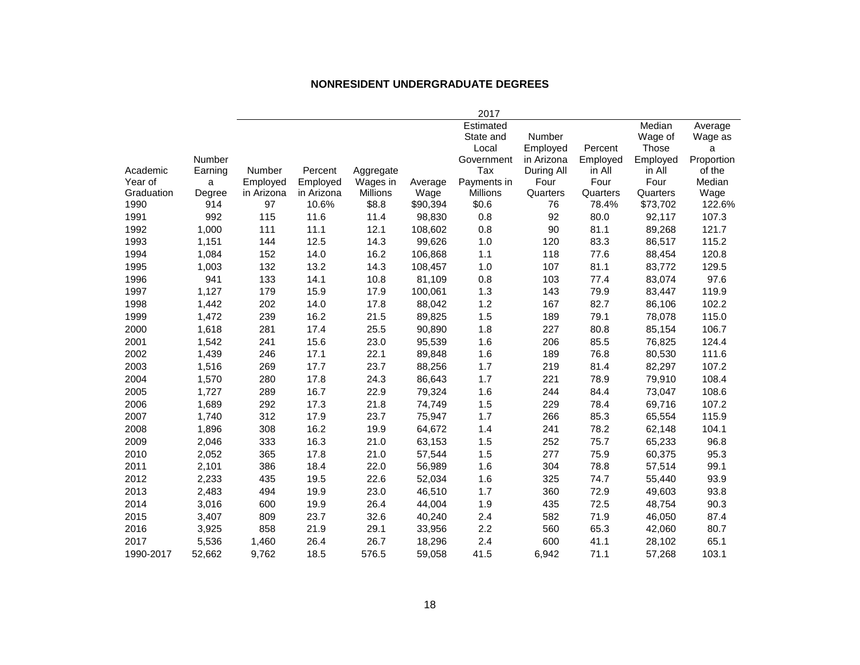#### **NONRESIDENT UNDERGRADUATE DEGREES**

|            |         |            |            |                 |          | 2017        |            |          |          |            |
|------------|---------|------------|------------|-----------------|----------|-------------|------------|----------|----------|------------|
|            |         |            |            |                 |          | Estimated   |            |          | Median   | Average    |
|            |         |            |            |                 |          | State and   | Number     |          | Wage of  | Wage as    |
|            |         |            |            |                 |          | Local       | Employed   | Percent  | Those    | а          |
|            | Number  |            |            |                 |          | Government  | in Arizona | Employed | Employed | Proportion |
| Academic   | Earning | Number     | Percent    | Aggregate       |          | Tax         | During All | in All   | in All   | of the     |
| Year of    | a       | Employed   | Employed   | Wages in        | Average  | Payments in | Four       | Four     | Four     | Median     |
| Graduation | Degree  | in Arizona | in Arizona | <b>Millions</b> | Wage     | Millions    | Quarters   | Quarters | Quarters | Wage       |
| 1990       | 914     | 97         | 10.6%      | \$8.8           | \$90,394 | \$0.6       | 76         | 78.4%    | \$73,702 | 122.6%     |
| 1991       | 992     | 115        | 11.6       | 11.4            | 98,830   | 0.8         | 92         | 80.0     | 92,117   | 107.3      |
| 1992       | 1,000   | 111        | 11.1       | 12.1            | 108,602  | 0.8         | 90         | 81.1     | 89,268   | 121.7      |
| 1993       | 1,151   | 144        | 12.5       | 14.3            | 99,626   | 1.0         | 120        | 83.3     | 86,517   | 115.2      |
| 1994       | 1,084   | 152        | 14.0       | 16.2            | 106,868  | 1.1         | 118        | 77.6     | 88,454   | 120.8      |
| 1995       | 1,003   | 132        | 13.2       | 14.3            | 108,457  | 1.0         | 107        | 81.1     | 83,772   | 129.5      |
| 1996       | 941     | 133        | 14.1       | 10.8            | 81,109   | 0.8         | 103        | 77.4     | 83,074   | 97.6       |
| 1997       | 1,127   | 179        | 15.9       | 17.9            | 100,061  | 1.3         | 143        | 79.9     | 83,447   | 119.9      |
| 1998       | 1,442   | 202        | 14.0       | 17.8            | 88,042   | 1.2         | 167        | 82.7     | 86,106   | 102.2      |
| 1999       | 1,472   | 239        | 16.2       | 21.5            | 89,825   | 1.5         | 189        | 79.1     | 78,078   | 115.0      |
| 2000       | 1,618   | 281        | 17.4       | 25.5            | 90,890   | 1.8         | 227        | 80.8     | 85,154   | 106.7      |
| 2001       | 1,542   | 241        | 15.6       | 23.0            | 95,539   | 1.6         | 206        | 85.5     | 76,825   | 124.4      |
| 2002       | 1,439   | 246        | 17.1       | 22.1            | 89,848   | 1.6         | 189        | 76.8     | 80,530   | 111.6      |
| 2003       | 1,516   | 269        | 17.7       | 23.7            | 88,256   | 1.7         | 219        | 81.4     | 82,297   | 107.2      |
| 2004       | 1,570   | 280        | 17.8       | 24.3            | 86,643   | 1.7         | 221        | 78.9     | 79,910   | 108.4      |
| 2005       | 1,727   | 289        | 16.7       | 22.9            | 79,324   | 1.6         | 244        | 84.4     | 73,047   | 108.6      |
| 2006       | 1,689   | 292        | 17.3       | 21.8            | 74,749   | 1.5         | 229        | 78.4     | 69,716   | 107.2      |
| 2007       | 1,740   | 312        | 17.9       | 23.7            | 75,947   | 1.7         | 266        | 85.3     | 65,554   | 115.9      |
| 2008       | 1,896   | 308        | 16.2       | 19.9            | 64,672   | 1.4         | 241        | 78.2     | 62,148   | 104.1      |
| 2009       | 2,046   | 333        | 16.3       | 21.0            | 63,153   | 1.5         | 252        | 75.7     | 65,233   | 96.8       |
| 2010       | 2,052   | 365        | 17.8       | 21.0            | 57,544   | 1.5         | 277        | 75.9     | 60,375   | 95.3       |
| 2011       | 2,101   | 386        | 18.4       | 22.0            | 56,989   | 1.6         | 304        | 78.8     | 57,514   | 99.1       |
| 2012       | 2,233   | 435        | 19.5       | 22.6            | 52,034   | 1.6         | 325        | 74.7     | 55,440   | 93.9       |
| 2013       | 2,483   | 494        | 19.9       | 23.0            | 46,510   | 1.7         | 360        | 72.9     | 49,603   | 93.8       |
| 2014       | 3,016   | 600        | 19.9       | 26.4            | 44,004   | 1.9         | 435        | 72.5     | 48,754   | 90.3       |
| 2015       | 3,407   | 809        | 23.7       | 32.6            | 40,240   | 2.4         | 582        | 71.9     | 46,050   | 87.4       |
| 2016       | 3,925   | 858        | 21.9       | 29.1            | 33,956   | 2.2         | 560        | 65.3     | 42,060   | 80.7       |
| 2017       | 5,536   | 1,460      | 26.4       | 26.7            | 18,296   | 2.4         | 600        | 41.1     | 28,102   | 65.1       |
| 1990-2017  | 52,662  | 9,762      | 18.5       | 576.5           | 59,058   | 41.5        | 6,942      | 71.1     | 57,268   | 103.1      |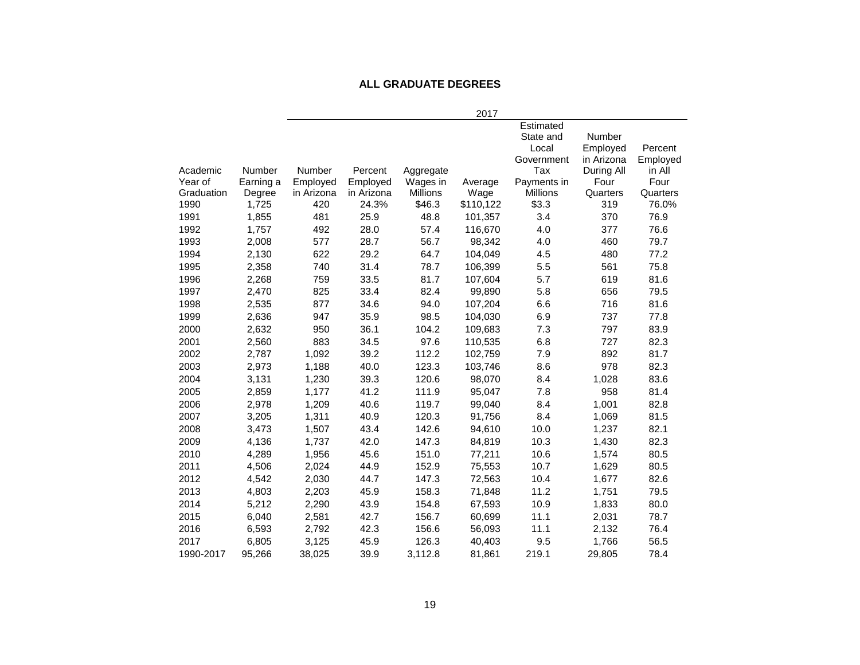#### **ALL GRADUATE DEGREES**

|            |               |            |            |           | 2017      |             |            |          |
|------------|---------------|------------|------------|-----------|-----------|-------------|------------|----------|
|            |               |            |            |           |           | Estimated   |            |          |
|            |               |            |            |           |           | State and   | Number     |          |
|            |               |            |            |           |           | Local       | Employed   | Percent  |
|            |               |            |            |           |           | Government  | in Arizona | Employed |
| Academic   | <b>Number</b> | Number     | Percent    | Aggregate |           | Tax         | During All | in All   |
| Year of    | Earning a     | Employed   | Employed   | Wages in  | Average   | Payments in | Four       | Four     |
| Graduation | Degree        | in Arizona | in Arizona | Millions  | Wage      | Millions    | Quarters   | Quarters |
| 1990       | 1,725         | 420        | 24.3%      | \$46.3    | \$110,122 | \$3.3       | 319        | 76.0%    |
| 1991       | 1,855         | 481        | 25.9       | 48.8      | 101,357   | 3.4         | 370        | 76.9     |
| 1992       | 1,757         | 492        | 28.0       | 57.4      | 116,670   | 4.0         | 377        | 76.6     |
| 1993       | 2,008         | 577        | 28.7       | 56.7      | 98,342    | 4.0         | 460        | 79.7     |
| 1994       | 2,130         | 622        | 29.2       | 64.7      | 104,049   | 4.5         | 480        | 77.2     |
| 1995       | 2,358         | 740        | 31.4       | 78.7      | 106,399   | 5.5         | 561        | 75.8     |
| 1996       | 2,268         | 759        | 33.5       | 81.7      | 107,604   | 5.7         | 619        | 81.6     |
| 1997       | 2,470         | 825        | 33.4       | 82.4      | 99,890    | 5.8         | 656        | 79.5     |
| 1998       | 2,535         | 877        | 34.6       | 94.0      | 107,204   | 6.6         | 716        | 81.6     |
| 1999       | 2,636         | 947        | 35.9       | 98.5      | 104,030   | 6.9         | 737        | 77.8     |
| 2000       | 2,632         | 950        | 36.1       | 104.2     | 109,683   | 7.3         | 797        | 83.9     |
| 2001       | 2,560         | 883        | 34.5       | 97.6      | 110,535   | 6.8         | 727        | 82.3     |
| 2002       | 2,787         | 1,092      | 39.2       | 112.2     | 102,759   | 7.9         | 892        | 81.7     |
| 2003       | 2,973         | 1,188      | 40.0       | 123.3     | 103,746   | 8.6         | 978        | 82.3     |
| 2004       | 3,131         | 1,230      | 39.3       | 120.6     | 98,070    | 8.4         | 1,028      | 83.6     |
| 2005       | 2,859         | 1,177      | 41.2       | 111.9     | 95,047    | 7.8         | 958        | 81.4     |
| 2006       | 2,978         | 1,209      | 40.6       | 119.7     | 99,040    | 8.4         | 1,001      | 82.8     |
| 2007       | 3,205         | 1,311      | 40.9       | 120.3     | 91,756    | 8.4         | 1,069      | 81.5     |
| 2008       | 3,473         | 1,507      | 43.4       | 142.6     | 94,610    | 10.0        | 1,237      | 82.1     |
| 2009       | 4,136         | 1,737      | 42.0       | 147.3     | 84,819    | 10.3        | 1,430      | 82.3     |
| 2010       | 4,289         | 1,956      | 45.6       | 151.0     | 77,211    | 10.6        | 1,574      | 80.5     |
| 2011       | 4,506         | 2,024      | 44.9       | 152.9     | 75,553    | 10.7        | 1,629      | 80.5     |
| 2012       | 4,542         | 2,030      | 44.7       | 147.3     | 72,563    | 10.4        | 1,677      | 82.6     |
| 2013       | 4,803         | 2,203      | 45.9       | 158.3     | 71,848    | 11.2        | 1,751      | 79.5     |
| 2014       | 5,212         | 2,290      | 43.9       | 154.8     | 67,593    | 10.9        | 1,833      | 80.0     |
| 2015       | 6,040         | 2,581      | 42.7       | 156.7     | 60,699    | 11.1        | 2,031      | 78.7     |
| 2016       | 6,593         | 2,792      | 42.3       | 156.6     | 56,093    | 11.1        | 2,132      | 76.4     |
| 2017       | 6,805         | 3,125      | 45.9       | 126.3     | 40,403    | 9.5         | 1,766      | 56.5     |
| 1990-2017  | 95,266        | 38,025     | 39.9       | 3,112.8   | 81,861    | 219.1       | 29,805     | 78.4     |
|            |               |            |            |           |           |             |            |          |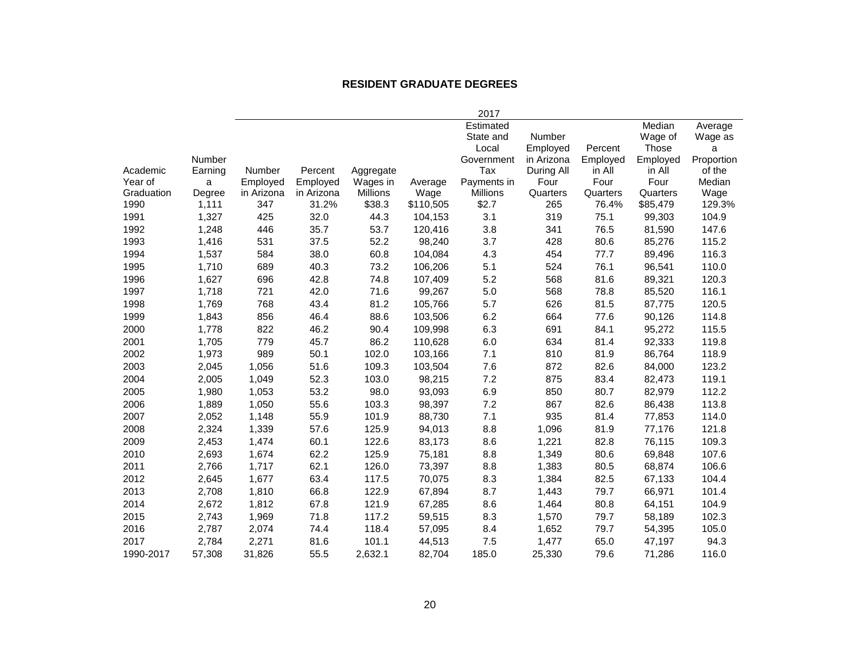#### **RESIDENT GRADUATE DEGREES**

|            |         |            |            |                 |           | 2017        |            |          |          |            |
|------------|---------|------------|------------|-----------------|-----------|-------------|------------|----------|----------|------------|
|            |         |            |            |                 |           | Estimated   |            |          | Median   | Average    |
|            |         |            |            |                 |           | State and   | Number     |          | Wage of  | Wage as    |
|            |         |            |            |                 |           | Local       | Employed   | Percent  | Those    | a          |
|            | Number  |            |            |                 |           | Government  | in Arizona | Employed | Employed | Proportion |
| Academic   | Earning | Number     | Percent    | Aggregate       |           | Tax         | During All | in All   | in All   | of the     |
| Year of    | a       | Employed   | Employed   | Wages in        | Average   | Payments in | Four       | Four     | Four     | Median     |
| Graduation | Degree  | in Arizona | in Arizona | <b>Millions</b> | Wage      | Millions    | Quarters   | Quarters | Quarters | Wage       |
| 1990       | 1,111   | 347        | 31.2%      | \$38.3          | \$110,505 | \$2.7       | 265        | 76.4%    | \$85,479 | 129.3%     |
| 1991       | 1,327   | 425        | 32.0       | 44.3            | 104,153   | 3.1         | 319        | 75.1     | 99,303   | 104.9      |
| 1992       | 1,248   | 446        | 35.7       | 53.7            | 120,416   | 3.8         | 341        | 76.5     | 81,590   | 147.6      |
| 1993       | 1,416   | 531        | 37.5       | 52.2            | 98,240    | 3.7         | 428        | 80.6     | 85,276   | 115.2      |
| 1994       | 1,537   | 584        | 38.0       | 60.8            | 104,084   | 4.3         | 454        | 77.7     | 89,496   | 116.3      |
| 1995       | 1,710   | 689        | 40.3       | 73.2            | 106,206   | 5.1         | 524        | 76.1     | 96,541   | 110.0      |
| 1996       | 1,627   | 696        | 42.8       | 74.8            | 107,409   | 5.2         | 568        | 81.6     | 89,321   | 120.3      |
| 1997       | 1,718   | 721        | 42.0       | 71.6            | 99,267    | 5.0         | 568        | 78.8     | 85,520   | 116.1      |
| 1998       | 1.769   | 768        | 43.4       | 81.2            | 105,766   | 5.7         | 626        | 81.5     | 87,775   | 120.5      |
| 1999       | 1,843   | 856        | 46.4       | 88.6            | 103,506   | 6.2         | 664        | 77.6     | 90,126   | 114.8      |
| 2000       | 1,778   | 822        | 46.2       | 90.4            | 109,998   | 6.3         | 691        | 84.1     | 95,272   | 115.5      |
| 2001       | 1,705   | 779        | 45.7       | 86.2            | 110,628   | 6.0         | 634        | 81.4     | 92,333   | 119.8      |
| 2002       | 1,973   | 989        | 50.1       | 102.0           | 103,166   | 7.1         | 810        | 81.9     | 86,764   | 118.9      |
| 2003       | 2,045   | 1,056      | 51.6       | 109.3           | 103,504   | 7.6         | 872        | 82.6     | 84,000   | 123.2      |
| 2004       | 2,005   | 1,049      | 52.3       | 103.0           | 98,215    | 7.2         | 875        | 83.4     | 82,473   | 119.1      |
| 2005       | 1,980   | 1,053      | 53.2       | 98.0            | 93,093    | 6.9         | 850        | 80.7     | 82,979   | 112.2      |
| 2006       | 1,889   | 1,050      | 55.6       | 103.3           | 98,397    | 7.2         | 867        | 82.6     | 86,438   | 113.8      |
| 2007       | 2,052   | 1,148      | 55.9       | 101.9           | 88,730    | 7.1         | 935        | 81.4     | 77,853   | 114.0      |
| 2008       | 2,324   | 1,339      | 57.6       | 125.9           | 94,013    | 8.8         | 1,096      | 81.9     | 77,176   | 121.8      |
| 2009       | 2,453   | 1,474      | 60.1       | 122.6           | 83,173    | 8.6         | 1,221      | 82.8     | 76,115   | 109.3      |
| 2010       | 2,693   | 1,674      | 62.2       | 125.9           | 75,181    | 8.8         | 1,349      | 80.6     | 69,848   | 107.6      |
| 2011       | 2,766   | 1,717      | 62.1       | 126.0           | 73,397    | 8.8         | 1,383      | 80.5     | 68,874   | 106.6      |
| 2012       | 2,645   | 1,677      | 63.4       | 117.5           | 70,075    | 8.3         | 1,384      | 82.5     | 67,133   | 104.4      |
| 2013       | 2,708   | 1,810      | 66.8       | 122.9           | 67,894    | 8.7         | 1,443      | 79.7     | 66,971   | 101.4      |
| 2014       | 2,672   | 1,812      | 67.8       | 121.9           | 67,285    | 8.6         | 1,464      | 80.8     | 64,151   | 104.9      |
| 2015       | 2,743   | 1,969      | 71.8       | 117.2           | 59,515    | 8.3         | 1,570      | 79.7     | 58,189   | 102.3      |
| 2016       | 2,787   | 2,074      | 74.4       | 118.4           | 57,095    | 8.4         | 1,652      | 79.7     | 54,395   | 105.0      |
| 2017       | 2,784   | 2,271      | 81.6       | 101.1           | 44,513    | 7.5         | 1,477      | 65.0     | 47,197   | 94.3       |
| 1990-2017  | 57,308  | 31,826     | 55.5       | 2,632.1         | 82,704    | 185.0       | 25,330     | 79.6     | 71,286   | 116.0      |